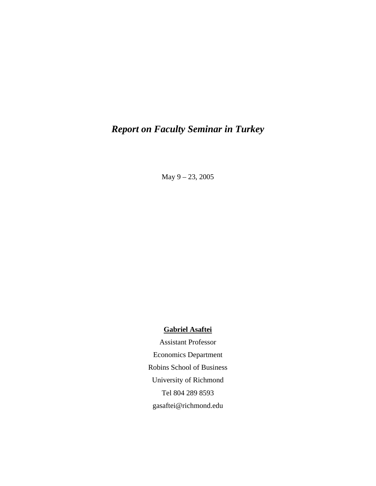# *Report on Faculty Seminar in Turkey*

May 9 – 23, 2005

### **Gabriel Asaftei**

Assistant Professor Economics Department Robins School of Business University of Richmond Tel 804 289 8593 gasaftei@richmond.edu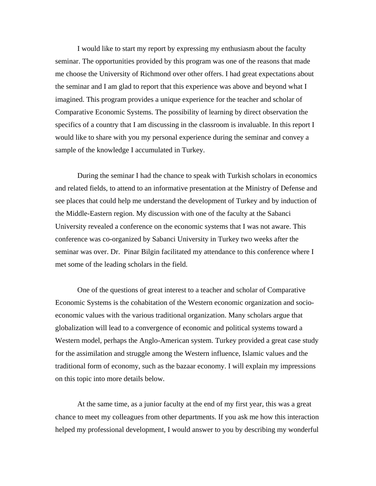I would like to start my report by expressing my enthusiasm about the faculty seminar. The opportunities provided by this program was one of the reasons that made me choose the University of Richmond over other offers. I had great expectations about the seminar and I am glad to report that this experience was above and beyond what I imagined. This program provides a unique experience for the teacher and scholar of Comparative Economic Systems. The possibility of learning by direct observation the specifics of a country that I am discussing in the classroom is invaluable. In this report I would like to share with you my personal experience during the seminar and convey a sample of the knowledge I accumulated in Turkey.

During the seminar I had the chance to speak with Turkish scholars in economics and related fields, to attend to an informative presentation at the Ministry of Defense and see places that could help me understand the development of Turkey and by induction of the Middle-Eastern region. My discussion with one of the faculty at the Sabanci University revealed a conference on the economic systems that I was not aware. This conference was co-organized by Sabanci University in Turkey two weeks after the seminar was over. Dr. Pinar Bilgin facilitated my attendance to this conference where I met some of the leading scholars in the field.

One of the questions of great interest to a teacher and scholar of Comparative Economic Systems is the cohabitation of the Western economic organization and socioeconomic values with the various traditional organization. Many scholars argue that globalization will lead to a convergence of economic and political systems toward a Western model, perhaps the Anglo-American system. Turkey provided a great case study for the assimilation and struggle among the Western influence, Islamic values and the traditional form of economy, such as the bazaar economy. I will explain my impressions on this topic into more details below.

At the same time, as a junior faculty at the end of my first year, this was a great chance to meet my colleagues from other departments. If you ask me how this interaction helped my professional development, I would answer to you by describing my wonderful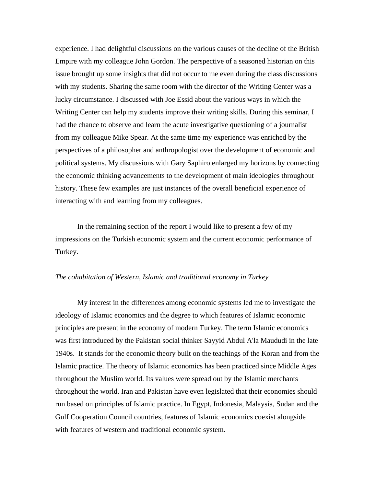experience. I had delightful discussions on the various causes of the decline of the British Empire with my colleague John Gordon. The perspective of a seasoned historian on this issue brought up some insights that did not occur to me even during the class discussions with my students. Sharing the same room with the director of the Writing Center was a lucky circumstance. I discussed with Joe Essid about the various ways in which the Writing Center can help my students improve their writing skills. During this seminar, I had the chance to observe and learn the acute investigative questioning of a journalist from my colleague Mike Spear. At the same time my experience was enriched by the perspectives of a philosopher and anthropologist over the development of economic and political systems. My discussions with Gary Saphiro enlarged my horizons by connecting the economic thinking advancements to the development of main ideologies throughout history. These few examples are just instances of the overall beneficial experience of interacting with and learning from my colleagues.

In the remaining section of the report I would like to present a few of my impressions on the Turkish economic system and the current economic performance of Turkey.

#### *The cohabitation of Western, Islamic and traditional economy in Turkey*

My interest in the differences among economic systems led me to investigate the ideology of Islamic economics and the degree to which features of Islamic economic principles are present in the economy of modern Turkey. The term Islamic economics was first introduced by the Pakistan social thinker Sayyid Abdul A'la Maududi in the late 1940s. It stands for the economic theory built on the teachings of the Koran and from the Islamic practice. The theory of Islamic economics has been practiced since Middle Ages throughout the Muslim world. Its values were spread out by the Islamic merchants throughout the world. Iran and Pakistan have even legislated that their economies should run based on principles of Islamic practice. In Egypt, Indonesia, Malaysia, Sudan and the Gulf Cooperation Council countries, features of Islamic economics coexist alongside with features of western and traditional economic system.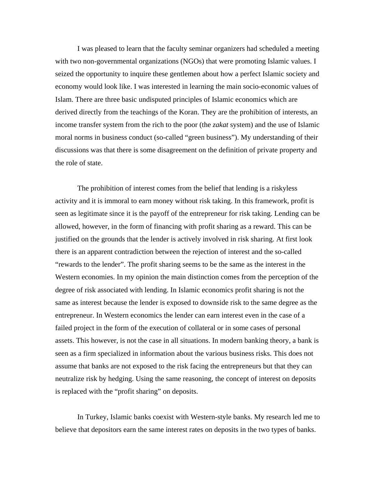I was pleased to learn that the faculty seminar organizers had scheduled a meeting with two non-governmental organizations (NGOs) that were promoting Islamic values. I seized the opportunity to inquire these gentlemen about how a perfect Islamic society and economy would look like. I was interested in learning the main socio-economic values of Islam. There are three basic undisputed principles of Islamic economics which are derived directly from the teachings of the Koran. They are the prohibition of interests, an income transfer system from the rich to the poor (the *zakat* system) and the use of Islamic moral norms in business conduct (so-called "green business"). My understanding of their discussions was that there is some disagreement on the definition of private property and the role of state.

The prohibition of interest comes from the belief that lending is a riskyless activity and it is immoral to earn money without risk taking. In this framework, profit is seen as legitimate since it is the payoff of the entrepreneur for risk taking. Lending can be allowed, however, in the form of financing with profit sharing as a reward. This can be justified on the grounds that the lender is actively involved in risk sharing. At first look there is an apparent contradiction between the rejection of interest and the so-called "rewards to the lender". The profit sharing seems to be the same as the interest in the Western economies. In my opinion the main distinction comes from the perception of the degree of risk associated with lending. In Islamic economics profit sharing is not the same as interest because the lender is exposed to downside risk to the same degree as the entrepreneur. In Western economics the lender can earn interest even in the case of a failed project in the form of the execution of collateral or in some cases of personal assets. This however, is not the case in all situations. In modern banking theory, a bank is seen as a firm specialized in information about the various business risks. This does not assume that banks are not exposed to the risk facing the entrepreneurs but that they can neutralize risk by hedging. Using the same reasoning, the concept of interest on deposits is replaced with the "profit sharing" on deposits.

In Turkey, Islamic banks coexist with Western-style banks. My research led me to believe that depositors earn the same interest rates on deposits in the two types of banks.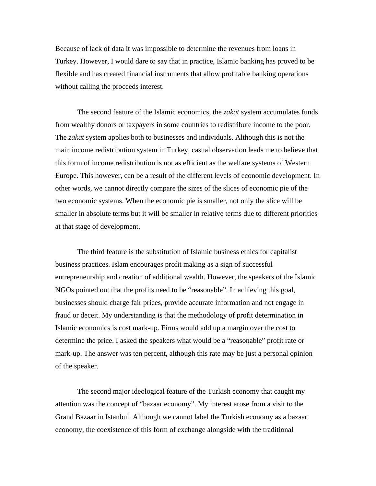Because of lack of data it was impossible to determine the revenues from loans in Turkey. However, I would dare to say that in practice, Islamic banking has proved to be flexible and has created financial instruments that allow profitable banking operations without calling the proceeds interest.

The second feature of the Islamic economics, the *zakat* system accumulates funds from wealthy donors or taxpayers in some countries to redistribute income to the poor. The *zakat* system applies both to businesses and individuals. Although this is not the main income redistribution system in Turkey, casual observation leads me to believe that this form of income redistribution is not as efficient as the welfare systems of Western Europe. This however, can be a result of the different levels of economic development. In other words, we cannot directly compare the sizes of the slices of economic pie of the two economic systems. When the economic pie is smaller, not only the slice will be smaller in absolute terms but it will be smaller in relative terms due to different priorities at that stage of development.

The third feature is the substitution of Islamic business ethics for capitalist business practices. Islam encourages profit making as a sign of successful entrepreneurship and creation of additional wealth. However, the speakers of the Islamic NGOs pointed out that the profits need to be "reasonable". In achieving this goal, businesses should charge fair prices, provide accurate information and not engage in fraud or deceit. My understanding is that the methodology of profit determination in Islamic economics is cost mark-up. Firms would add up a margin over the cost to determine the price. I asked the speakers what would be a "reasonable" profit rate or mark-up. The answer was ten percent, although this rate may be just a personal opinion of the speaker.

The second major ideological feature of the Turkish economy that caught my attention was the concept of "bazaar economy". My interest arose from a visit to the Grand Bazaar in Istanbul. Although we cannot label the Turkish economy as a bazaar economy, the coexistence of this form of exchange alongside with the traditional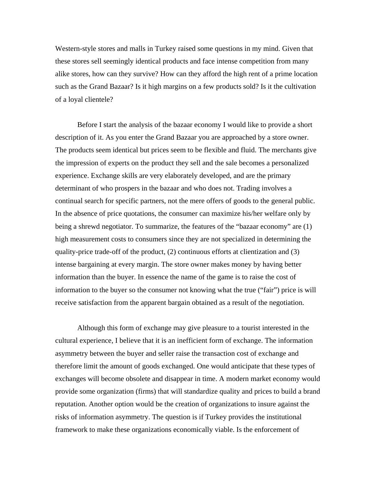Western-style stores and malls in Turkey raised some questions in my mind. Given that these stores sell seemingly identical products and face intense competition from many alike stores, how can they survive? How can they afford the high rent of a prime location such as the Grand Bazaar? Is it high margins on a few products sold? Is it the cultivation of a loyal clientele?

Before I start the analysis of the bazaar economy I would like to provide a short description of it. As you enter the Grand Bazaar you are approached by a store owner. The products seem identical but prices seem to be flexible and fluid. The merchants give the impression of experts on the product they sell and the sale becomes a personalized experience. Exchange skills are very elaborately developed, and are the primary determinant of who prospers in the bazaar and who does not. Trading involves a continual search for specific partners, not the mere offers of goods to the general public. In the absence of price quotations, the consumer can maximize his/her welfare only by being a shrewd negotiator. To summarize, the features of the "bazaar economy" are (1) high measurement costs to consumers since they are not specialized in determining the quality-price trade-off of the product, (2) continuous efforts at clientization and (3) intense bargaining at every margin. The store owner makes money by having better information than the buyer. In essence the name of the game is to raise the cost of information to the buyer so the consumer not knowing what the true ("fair") price is will receive satisfaction from the apparent bargain obtained as a result of the negotiation.

Although this form of exchange may give pleasure to a tourist interested in the cultural experience, I believe that it is an inefficient form of exchange. The information asymmetry between the buyer and seller raise the transaction cost of exchange and therefore limit the amount of goods exchanged. One would anticipate that these types of exchanges will become obsolete and disappear in time. A modern market economy would provide some organization (firms) that will standardize quality and prices to build a brand reputation. Another option would be the creation of organizations to insure against the risks of information asymmetry. The question is if Turkey provides the institutional framework to make these organizations economically viable. Is the enforcement of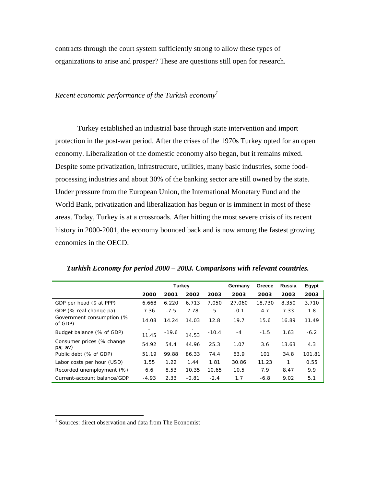contracts through the court system sufficiently strong to allow these types of organizations to arise and prosper? These are questions still open for research.

## *Recent economic performance of the Turkish economy<sup>1</sup>*

Turkey established an industrial base through state intervention and import protection in the post-war period. After the crises of the 1970s Turkey opted for an open economy. Liberalization of the domestic economy also began, but it remains mixed. Despite some privatization, infrastructure, utilities, many basic industries, some foodprocessing industries and about 30% of the banking sector are still owned by the state. Under pressure from the European Union, the International Monetary Fund and the World Bank, privatization and liberalization has begun or is imminent in most of these areas. Today, Turkey is at a crossroads. After hitting the most severe crisis of its recent history in 2000-2001, the economy bounced back and is now among the fastest growing economies in the OECD.

|                                           | <b>Turkey</b> |         |         | Germany | Greece | Russia | Egypt |        |
|-------------------------------------------|---------------|---------|---------|---------|--------|--------|-------|--------|
|                                           | 2000          | 2001    | 2002    | 2003    | 2003   | 2003   | 2003  | 2003   |
| GDP per head (\$ at PPP)                  | 6.668         | 6.220   | 6,713   | 7.050   | 27,060 | 18,730 | 8,350 | 3.710  |
| GDP (% real change pa)                    | 7.36          | $-7.5$  | 7.78    | 5       | $-0.1$ | 4.7    | 7.33  | 1.8    |
| Government consumption (%<br>of GDP)      | 14.08         | 14.24   | 14.03   | 12.8    | 19.7   | 15.6   | 16.89 | 11.49  |
| Budget balance (% of GDP)                 | 11.45         | $-19.6$ | 14.53   | $-10.4$ | -4     | $-1.5$ | 1.63  | $-6.2$ |
| Consumer prices (% change<br>$pa$ ; $av)$ | 54.92         | 54.4    | 44.96   | 25.3    | 1.07   | 3.6    | 13.63 | 4.3    |
| Public debt (% of GDP)                    | 51.19         | 99.88   | 86.33   | 74.4    | 63.9   | 101    | 34.8  | 101.81 |
| Labor costs per hour (USD)                | 1.55          | 1.22    | 1.44    | 1.81    | 30.86  | 11.23  | 1     | 0.55   |
| Recorded unemployment (%)                 | 6.6           | 8.53    | 10.35   | 10.65   | 10.5   | 7.9    | 8.47  | 9.9    |
| Current-account balance/GDP               | $-4.93$       | 2.33    | $-0.81$ | $-2.4$  | 1.7    | $-6.8$ | 9.02  | 5.1    |

| Turkish Economy for period 2000 - 2003. Comparisons with relevant countries. |  |
|------------------------------------------------------------------------------|--|
|------------------------------------------------------------------------------|--|

 $\overline{a}$ 

<sup>&</sup>lt;sup>1</sup> Sources: direct observation and data from The Economist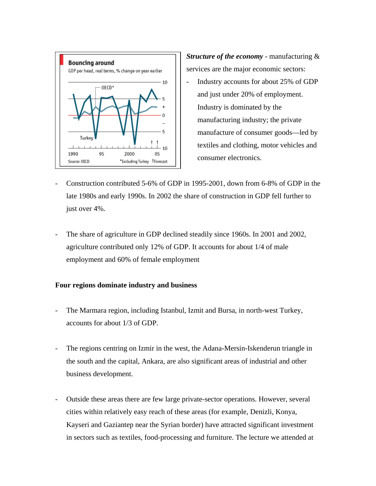

*Structure of the economy* - manufacturing & services are the major economic sectors:

- Industry accounts for about 25% of GDP and just under 20% of employment. Industry is dominated by the manufacturing industry; the private manufacture of consumer goods—led by textiles and clothing, motor vehicles and consumer electronics.
- Construction contributed 5-6% of GDP in 1995-2001, down from 6-8% of GDP in the late 1980s and early 1990s. In 2002 the share of construction in GDP fell further to just over 4%.
- The share of agriculture in GDP declined steadily since 1960s. In 2001 and 2002, agriculture contributed only 12% of GDP. It accounts for about 1/4 of male employment and 60% of female employment

#### **Four regions dominate industry and business**

- The Marmara region, including Istanbul, Izmit and Bursa, in north-west Turkey, accounts for about 1/3 of GDP.
- The regions centring on Izmir in the west, the Adana-Mersin-Iskenderun triangle in the south and the capital, Ankara, are also significant areas of industrial and other business development.
- Outside these areas there are few large private-sector operations. However, several cities within relatively easy reach of these areas (for example, Denizli, Konya, Kayseri and Gaziantep near the Syrian border) have attracted significant investment in sectors such as textiles, food-processing and furniture. The lecture we attended at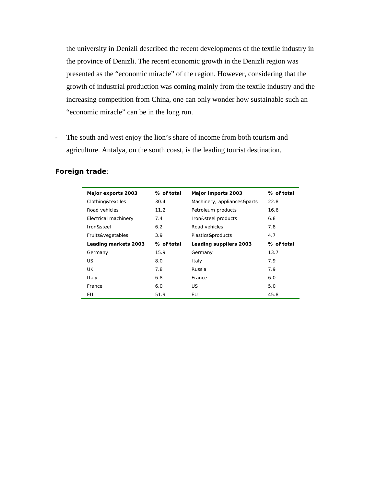the university in Denizli described the recent developments of the textile industry in the province of Denizli. The recent economic growth in the Denizli region was presented as the "economic miracle" of the region. However, considering that the growth of industrial production was coming mainly from the textile industry and the increasing competition from China, one can only wonder how sustainable such an "economic miracle" can be in the long run.

- The south and west enjoy the lion's share of income from both tourism and agriculture. Antalya, on the south coast, is the leading tourist destination.

| Foreign trade: |  |
|----------------|--|
|----------------|--|

| Major exports 2003   | % of total | Major imports 2003          | % of total |
|----------------------|------------|-----------------------------|------------|
| Clothing&textiles    | 30.4       | Machinery, appliances&parts | 22.8       |
| Road vehicles        | 11.2       | Petroleum products          | 16.6       |
| Electrical machinery | 7.4        | Iron&steel products         | 6.8        |
| Iron&steel           | 6.2        | Road vehicles               | 7.8        |
| Fruits&vegetables    | 3.9        | Plastics&products           | 4.7        |
| Leading markets 2003 | % of total | Leading suppliers 2003      | % of total |
| Germany              | 15.9       | Germany                     | 13.7       |
| US.                  | 8.0        | Italy                       | 7.9        |
| UK                   | 7.8        | Russia                      | 7.9        |
| Italy                | 6.8        | France                      | 6.0        |
| France               | 6.0        | US.                         | 5.0        |
| EU                   | 51.9       | EU                          | 45.8       |